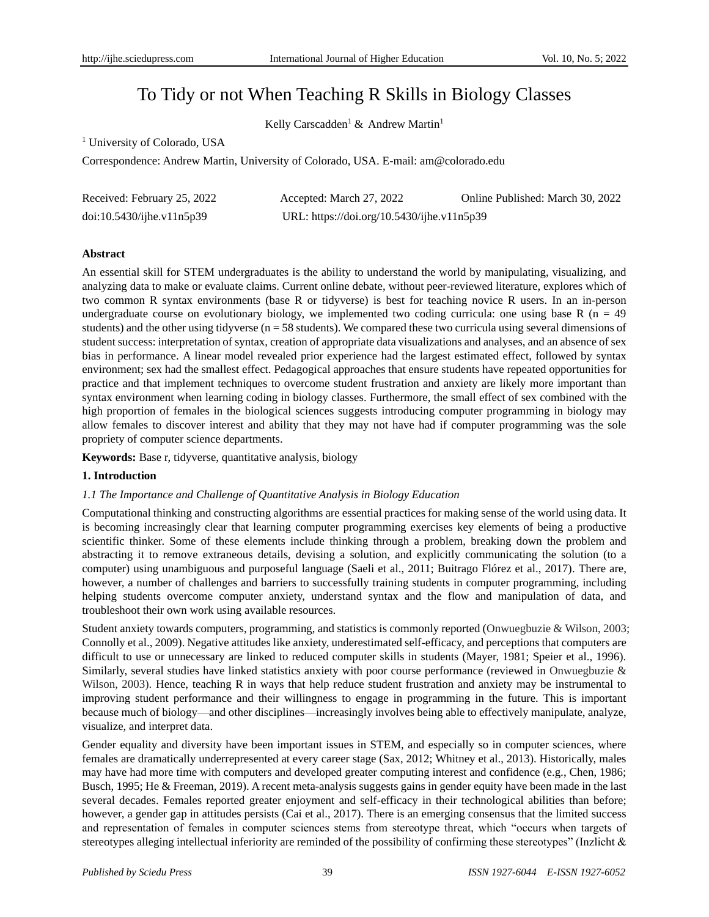# To Tidy or not When Teaching R Skills in Biology Classes

Kelly Carscadden<sup>1</sup> & Andrew Martin<sup>1</sup>

<sup>1</sup> University of Colorado, USA

Correspondence: Andrew Martin, University of Colorado, USA. E-mail: am@colorado.edu

| Received: February 25, 2022     | Accepted: March 27, 2022                   | Online Published: March 30, 2022 |
|---------------------------------|--------------------------------------------|----------------------------------|
| $doi:10.5430/ij$ he.v $11n5p39$ | URL: https://doi.org/10.5430/ijhe.v11n5p39 |                                  |

# **Abstract**

An essential skill for STEM undergraduates is the ability to understand the world by manipulating, visualizing, and analyzing data to make or evaluate claims. Current online debate, without peer-reviewed literature, explores which of two common R syntax environments (base R or tidyverse) is best for teaching novice R users. In an in-person undergraduate course on evolutionary biology, we implemented two coding curricula: one using base R ( $n = 49$ ) students) and the other using tidyverse ( $n = 58$  students). We compared these two curricula using several dimensions of student success: interpretation of syntax, creation of appropriate data visualizations and analyses, and an absence of sex bias in performance. A linear model revealed prior experience had the largest estimated effect, followed by syntax environment; sex had the smallest effect. Pedagogical approaches that ensure students have repeated opportunities for practice and that implement techniques to overcome student frustration and anxiety are likely more important than syntax environment when learning coding in biology classes. Furthermore, the small effect of sex combined with the high proportion of females in the biological sciences suggests introducing computer programming in biology may allow females to discover interest and ability that they may not have had if computer programming was the sole propriety of computer science departments.

**Keywords:** Base r, tidyverse, quantitative analysis, biology

# **1. Introduction**

# *1.1 The Importance and Challenge of Quantitative Analysis in Biology Education*

Computational thinking and constructing algorithms are essential practices for making sense of the world using data. It is becoming increasingly clear that learning computer programming exercises key elements of being a productive scientific thinker. Some of these elements include thinking through a problem, breaking down the problem and abstracting it to remove extraneous details, devising a solution, and explicitly communicating the solution (to a computer) using unambiguous and purposeful language (Saeli et al., 2011; Buitrago Flórez et al., 2017). There are, however, a number of challenges and barriers to successfully training students in computer programming, including helping students overcome computer anxiety, understand syntax and the flow and manipulation of data, and troubleshoot their own work using available resources.

Student anxiety towards computers, programming, and statistics is commonly reported (Onwuegbuzie & Wilson, 2003; Connolly et al., 2009). Negative attitudes like anxiety, underestimated self-efficacy, and perceptions that computers are difficult to use or unnecessary are linked to reduced computer skills in students (Mayer, 1981; Speier et al., 1996). Similarly, several studies have linked statistics anxiety with poor course performance (reviewed in Onwuegbuzie & Wilson, 2003). Hence, teaching R in ways that help reduce student frustration and anxiety may be instrumental to improving student performance and their willingness to engage in programming in the future. This is important because much of biology—and other disciplines—increasingly involves being able to effectively manipulate, analyze, visualize, and interpret data.

Gender equality and diversity have been important issues in STEM, and especially so in computer sciences, where females are dramatically underrepresented at every career stage (Sax, 2012; Whitney et al., 2013). Historically, males may have had more time with computers and developed greater computing interest and confidence (e.g., Chen, 1986; Busch, 1995; He & Freeman, 2019). A recent meta-analysis suggests gains in gender equity have been made in the last several decades. Females reported greater enjoyment and self-efficacy in their technological abilities than before; however, a gender gap in attitudes persists (Cai et al., 2017). There is an emerging consensus that the limited success and representation of females in computer sciences stems from stereotype threat, which "occurs when targets of stereotypes alleging intellectual inferiority are reminded of the possibility of confirming these stereotypes" (Inzlicht &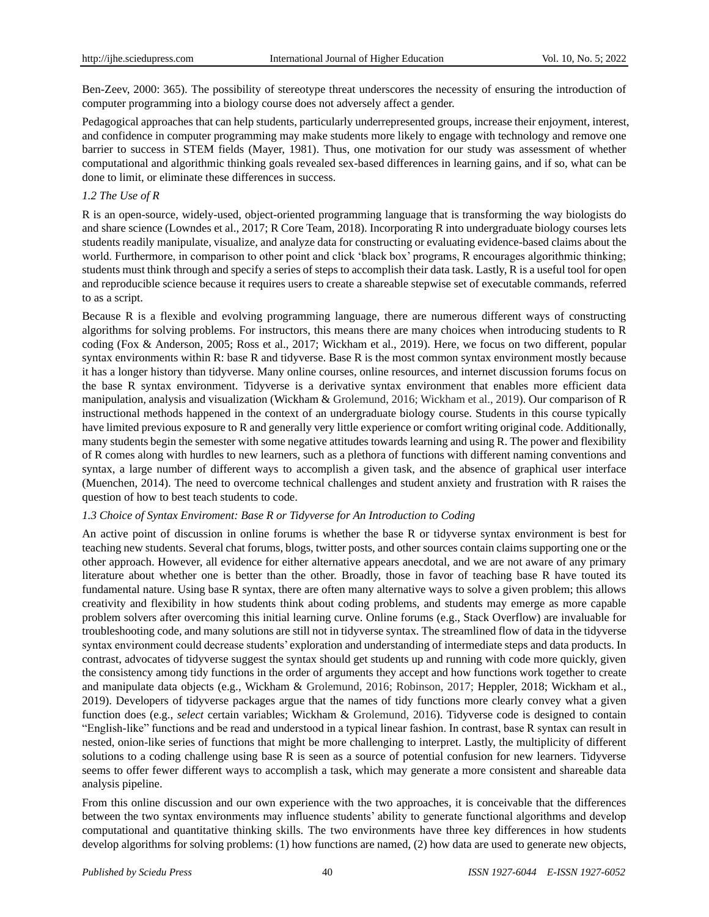Ben-Zeev, 2000: 365). The possibility of stereotype threat underscores the necessity of ensuring the introduction of computer programming into a biology course does not adversely affect a gender.

Pedagogical approaches that can help students, particularly underrepresented groups, increase their enjoyment, interest, and confidence in computer programming may make students more likely to engage with technology and remove one barrier to success in STEM fields (Mayer, 1981). Thus, one motivation for our study was assessment of whether computational and algorithmic thinking goals revealed sex-based differences in learning gains, and if so, what can be done to limit, or eliminate these differences in success.

#### *1.2 The Use of R*

R is an open-source, widely-used, object-oriented programming language that is transforming the way biologists do and share science (Lowndes et al., 2017; R Core Team, 2018). Incorporating R into undergraduate biology courses lets students readily manipulate, visualize, and analyze data for constructing or evaluating evidence-based claims about the world. Furthermore, in comparison to other point and click 'black box' programs, R encourages algorithmic thinking; students must think through and specify a series of steps to accomplish their data task. Lastly, R is a useful tool for open and reproducible science because it requires users to create a shareable stepwise set of executable commands, referred to as a script.

Because R is a flexible and evolving programming language, there are numerous different ways of constructing algorithms for solving problems. For instructors, this means there are many choices when introducing students to R coding (Fox & Anderson, 2005; Ross et al., 2017; Wickham et al., 2019). Here, we focus on two different, popular syntax environments within R: base R and tidyverse. Base R is the most common syntax environment mostly because it has a longer history than tidyverse. Many online courses, online resources, and internet discussion forums focus on the base R syntax environment. Tidyverse is a derivative syntax environment that enables more efficient data manipulation, analysis and visualization (Wickham & Grolemund, 2016; Wickham et al., 2019). Our comparison of R instructional methods happened in the context of an undergraduate biology course. Students in this course typically have limited previous exposure to R and generally very little experience or comfort writing original code. Additionally, many students begin the semester with some negative attitudes towards learning and using R. The power and flexibility of R comes along with hurdles to new learners, such as a plethora of functions with different naming conventions and syntax, a large number of different ways to accomplish a given task, and the absence of graphical user interface (Muenchen, 2014). The need to overcome technical challenges and student anxiety and frustration with R raises the question of how to best teach students to code.

#### *1.3 Choice of Syntax Enviroment: Base R or Tidyverse for An Introduction to Coding*

An active point of discussion in online forums is whether the base R or tidyverse syntax environment is best for teaching new students. Several chat forums, blogs, twitter posts, and other sources contain claims supporting one or the other approach. However, all evidence for either alternative appears anecdotal, and we are not aware of any primary literature about whether one is better than the other. Broadly, those in favor of teaching base R have touted its fundamental nature. Using base R syntax, there are often many alternative ways to solve a given problem; this allows creativity and flexibility in how students think about coding problems, and students may emerge as more capable problem solvers after overcoming this initial learning curve. Online forums (e.g., Stack Overflow) are invaluable for troubleshooting code, and many solutions are still not in tidyverse syntax. The streamlined flow of data in the tidyverse syntax environment could decrease students' exploration and understanding of intermediate steps and data products. In contrast, advocates of tidyverse suggest the syntax should get students up and running with code more quickly, given the consistency among tidy functions in the order of arguments they accept and how functions work together to create and manipulate data objects (e.g., Wickham & Grolemund, 2016; Robinson, 2017; Heppler, 2018; Wickham et al., 2019). Developers of tidyverse packages argue that the names of tidy functions more clearly convey what a given function does (e.g., *select* certain variables; Wickham & Grolemund, 2016). Tidyverse code is designed to contain "English-like" functions and be read and understood in a typical linear fashion. In contrast, base R syntax can result in nested, onion-like series of functions that might be more challenging to interpret. Lastly, the multiplicity of different solutions to a coding challenge using base R is seen as a source of potential confusion for new learners. Tidyverse seems to offer fewer different ways to accomplish a task, which may generate a more consistent and shareable data analysis pipeline.

From this online discussion and our own experience with the two approaches, it is conceivable that the differences between the two syntax environments may influence students' ability to generate functional algorithms and develop computational and quantitative thinking skills. The two environments have three key differences in how students develop algorithms for solving problems: (1) how functions are named, (2) how data are used to generate new objects,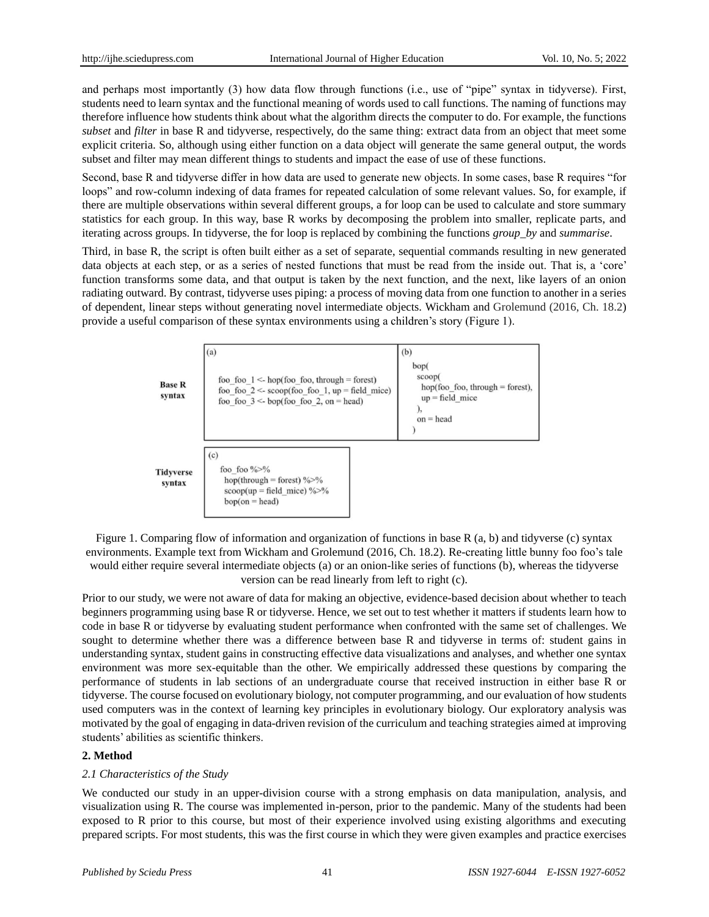and perhaps most importantly (3) how data flow through functions (i.e., use of "pipe" syntax in tidyverse). First, students need to learn syntax and the functional meaning of words used to call functions. The naming of functions may therefore influence how students think about what the algorithm directs the computer to do. For example, the functions *subset* and *filter* in base R and tidyverse, respectively, do the same thing: extract data from an object that meet some explicit criteria. So, although using either function on a data object will generate the same general output, the words subset and filter may mean different things to students and impact the ease of use of these functions.

Second, base R and tidyverse differ in how data are used to generate new objects. In some cases, base R requires "for loops" and row-column indexing of data frames for repeated calculation of some relevant values. So, for example, if there are multiple observations within several different groups, a for loop can be used to calculate and store summary statistics for each group. In this way, base R works by decomposing the problem into smaller, replicate parts, and iterating across groups. In tidyverse, the for loop is replaced by combining the functions *group\_by* and *summarise*.

Third, in base R, the script is often built either as a set of separate, sequential commands resulting in new generated data objects at each step, or as a series of nested functions that must be read from the inside out. That is, a 'core' function transforms some data, and that output is taken by the next function, and the next, like layers of an onion radiating outward. By contrast, tidyverse uses piping: a process of moving data from one function to another in a series of dependent, linear steps without generating novel intermediate objects. Wickham and Grolemund (2016, Ch. 18.2) provide a useful comparison of these syntax environments using a children's story (Figure 1).

| <b>Base R</b><br>syntax    | (a)<br>foo foo $1 \leq$ -hop(foo foo, through = forest)<br>foo foo $2 \le$ - scoop(foo foo 1, up = field mice)<br>foo foo $3 \le$ - bop(foo foo 2, on = head) | (b)<br>bop(<br>scoop(<br>hop(foo foo, through = forest),<br>$up$ = field mice<br>$on = head$ |
|----------------------------|---------------------------------------------------------------------------------------------------------------------------------------------------------------|----------------------------------------------------------------------------------------------|
| <b>Tidyverse</b><br>syntax | (c)<br>foo foo $\frac{9}{2}$ %<br>hop(through = forest) $\frac{9}{2}$ %<br>$scoop(up = field$ mice) %>%<br>$bop($ on = head)                                  |                                                                                              |

Figure 1. Comparing flow of information and organization of functions in base R (a, b) and tidyverse (c) syntax environments. Example text from Wickham and Grolemund (2016, Ch. 18.2). Re-creating little bunny foo foo's tale would either require several intermediate objects (a) or an onion-like series of functions (b), whereas the tidyverse version can be read linearly from left to right (c).

Prior to our study, we were not aware of data for making an objective, evidence-based decision about whether to teach beginners programming using base R or tidyverse. Hence, we set out to test whether it matters if students learn how to code in base R or tidyverse by evaluating student performance when confronted with the same set of challenges. We sought to determine whether there was a difference between base R and tidyverse in terms of: student gains in understanding syntax, student gains in constructing effective data visualizations and analyses, and whether one syntax environment was more sex-equitable than the other. We empirically addressed these questions by comparing the performance of students in lab sections of an undergraduate course that received instruction in either base R or tidyverse. The course focused on evolutionary biology, not computer programming, and our evaluation of how students used computers was in the context of learning key principles in evolutionary biology. Our exploratory analysis was motivated by the goal of engaging in data-driven revision of the curriculum and teaching strategies aimed at improving students' abilities as scientific thinkers.

# **2. Method**

# *2.1 Characteristics of the Study*

We conducted our study in an upper-division course with a strong emphasis on data manipulation, analysis, and visualization using R. The course was implemented in-person, prior to the pandemic. Many of the students had been exposed to R prior to this course, but most of their experience involved using existing algorithms and executing prepared scripts. For most students, this was the first course in which they were given examples and practice exercises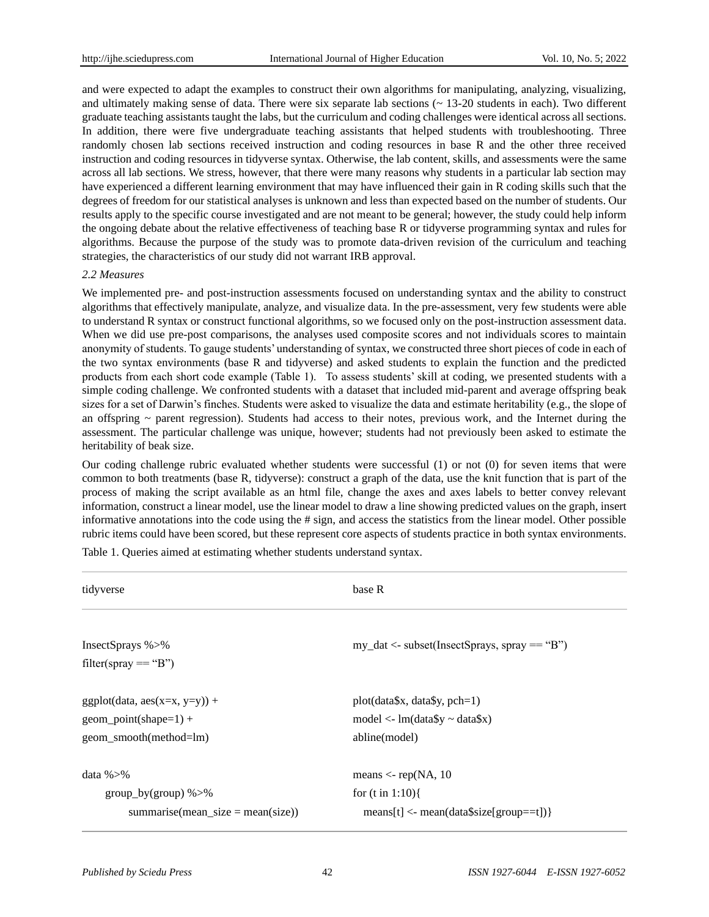and were expected to adapt the examples to construct their own algorithms for manipulating, analyzing, visualizing, and ultimately making sense of data. There were six separate lab sections  $($   $\sim$  13-20 students in each). Two different graduate teaching assistants taught the labs, but the curriculum and coding challenges were identical across all sections. In addition, there were five undergraduate teaching assistants that helped students with troubleshooting. Three randomly chosen lab sections received instruction and coding resources in base R and the other three received instruction and coding resources in tidyverse syntax. Otherwise, the lab content, skills, and assessments were the same across all lab sections. We stress, however, that there were many reasons why students in a particular lab section may have experienced a different learning environment that may have influenced their gain in R coding skills such that the degrees of freedom for our statistical analyses is unknown and less than expected based on the number of students. Our results apply to the specific course investigated and are not meant to be general; however, the study could help inform the ongoing debate about the relative effectiveness of teaching base R or tidyverse programming syntax and rules for algorithms. Because the purpose of the study was to promote data-driven revision of the curriculum and teaching strategies, the characteristics of our study did not warrant IRB approval.

#### *2.2 Measures*

We implemented pre- and post-instruction assessments focused on understanding syntax and the ability to construct algorithms that effectively manipulate, analyze, and visualize data. In the pre-assessment, very few students were able to understand R syntax or construct functional algorithms, so we focused only on the post-instruction assessment data. When we did use pre-post comparisons, the analyses used composite scores and not individuals scores to maintain anonymity of students. To gauge students' understanding of syntax, we constructed three short pieces of code in each of the two syntax environments (base R and tidyverse) and asked students to explain the function and the predicted products from each short code example (Table 1). To assess students' skill at coding, we presented students with a simple coding challenge. We confronted students with a dataset that included mid-parent and average offspring beak sizes for a set of Darwin's finches. Students were asked to visualize the data and estimate heritability (e.g., the slope of an offspring  $\sim$  parent regression). Students had access to their notes, previous work, and the Internet during the assessment. The particular challenge was unique, however; students had not previously been asked to estimate the heritability of beak size.

Our coding challenge rubric evaluated whether students were successful (1) or not (0) for seven items that were common to both treatments (base R, tidyverse): construct a graph of the data, use the knit function that is part of the process of making the script available as an html file, change the axes and axes labels to better convey relevant information, construct a linear model, use the linear model to draw a line showing predicted values on the graph, insert informative annotations into the code using the # sign, and access the statistics from the linear model. Other possible rubric items could have been scored, but these represent core aspects of students practice in both syntax environments.

Table 1. Queries aimed at estimating whether students understand syntax.

| tidyverse                                | base R                                            |
|------------------------------------------|---------------------------------------------------|
| InsectSprays %>%<br>filter(spray == "B") | $my\_dat \leq subset(InsectSprays, spray == "B")$ |
| $ggplot(data, aes(x=x, y=y)) +$          | $plot(data$ \$x, data\$y, pch=1)                  |
| $geom\_point(shape=1) +$                 | model <- $lm(data\$ $\sim$ data $\sqrt{s}$ x)     |
| geom_smooth(method=lm)                   | abline(model)                                     |
| data $\frac{9}{5}$ %                     | means $\langle$ - rep(NA, 10                      |
| $group_by(group)$ %>%                    | for $(t \text{ in } 1:10)$                        |
| summarise(mean_size = mean(size))        | $means[t] < -mean(data\$                          |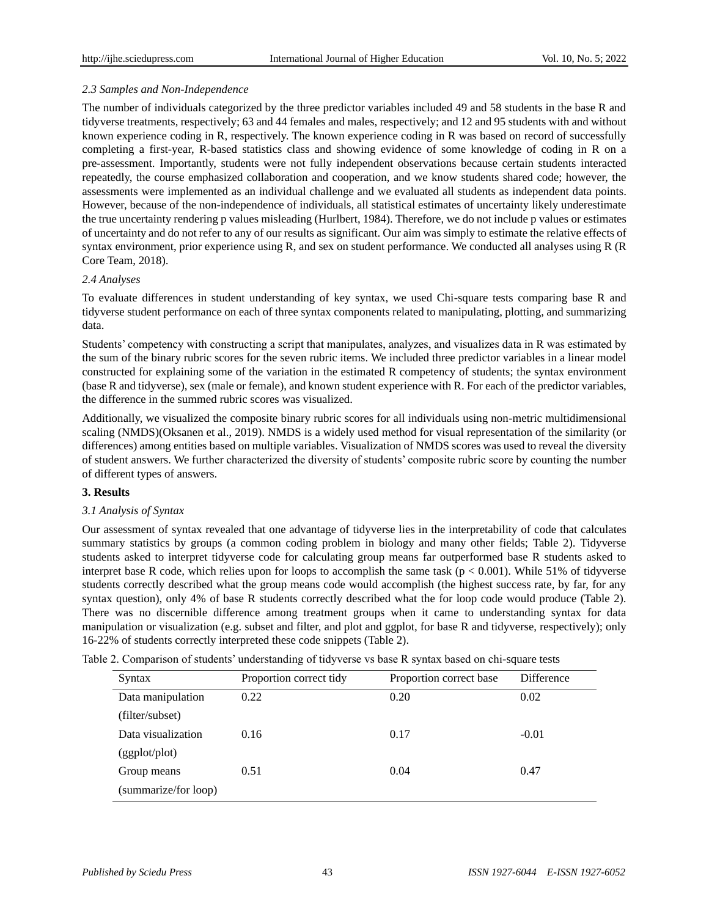# *2.3 Samples and Non-Independence*

The number of individuals categorized by the three predictor variables included 49 and 58 students in the base R and tidyverse treatments, respectively; 63 and 44 females and males, respectively; and 12 and 95 students with and without known experience coding in R, respectively. The known experience coding in R was based on record of successfully completing a first-year, R-based statistics class and showing evidence of some knowledge of coding in R on a pre-assessment. Importantly, students were not fully independent observations because certain students interacted repeatedly, the course emphasized collaboration and cooperation, and we know students shared code; however, the assessments were implemented as an individual challenge and we evaluated all students as independent data points. However, because of the non-independence of individuals, all statistical estimates of uncertainty likely underestimate the true uncertainty rendering p values misleading (Hurlbert, 1984). Therefore, we do not include p values or estimates of uncertainty and do not refer to any of our results as significant. Our aim was simply to estimate the relative effects of syntax environment, prior experience using R, and sex on student performance. We conducted all analyses using R (R Core Team, 2018).

# *2.4 Analyses*

To evaluate differences in student understanding of key syntax, we used Chi-square tests comparing base R and tidyverse student performance on each of three syntax components related to manipulating, plotting, and summarizing data.

Students' competency with constructing a script that manipulates, analyzes, and visualizes data in R was estimated by the sum of the binary rubric scores for the seven rubric items. We included three predictor variables in a linear model constructed for explaining some of the variation in the estimated R competency of students; the syntax environment (base R and tidyverse), sex (male or female), and known student experience with R. For each of the predictor variables, the difference in the summed rubric scores was visualized.

Additionally, we visualized the composite binary rubric scores for all individuals using non-metric multidimensional scaling (NMDS)(Oksanen et al., 2019). NMDS is a widely used method for visual representation of the similarity (or differences) among entities based on multiple variables. Visualization of NMDS scores was used to reveal the diversity of student answers. We further characterized the diversity of students' composite rubric score by counting the number of different types of answers.

# **3. Results**

# *3.1 Analysis of Syntax*

Our assessment of syntax revealed that one advantage of tidyverse lies in the interpretability of code that calculates summary statistics by groups (a common coding problem in biology and many other fields; Table 2). Tidyverse students asked to interpret tidyverse code for calculating group means far outperformed base R students asked to interpret base R code, which relies upon for loops to accomplish the same task ( $p < 0.001$ ). While 51% of tidyverse students correctly described what the group means code would accomplish (the highest success rate, by far, for any syntax question), only 4% of base R students correctly described what the for loop code would produce (Table 2). There was no discernible difference among treatment groups when it came to understanding syntax for data manipulation or visualization (e.g. subset and filter, and plot and ggplot, for base R and tidyverse, respectively); only 16-22% of students correctly interpreted these code snippets (Table 2).

| Syntax               | Proportion correct tidy | Proportion correct base | Difference |
|----------------------|-------------------------|-------------------------|------------|
| Data manipulation    | 0.22                    | 0.20                    | 0.02       |
| (filter/subset)      |                         |                         |            |
| Data visualization   | 0.16                    | 0.17                    | $-0.01$    |
| (ggplot/plot)        |                         |                         |            |
| Group means          | 0.51                    | 0.04                    | 0.47       |
| (summarize/for loop) |                         |                         |            |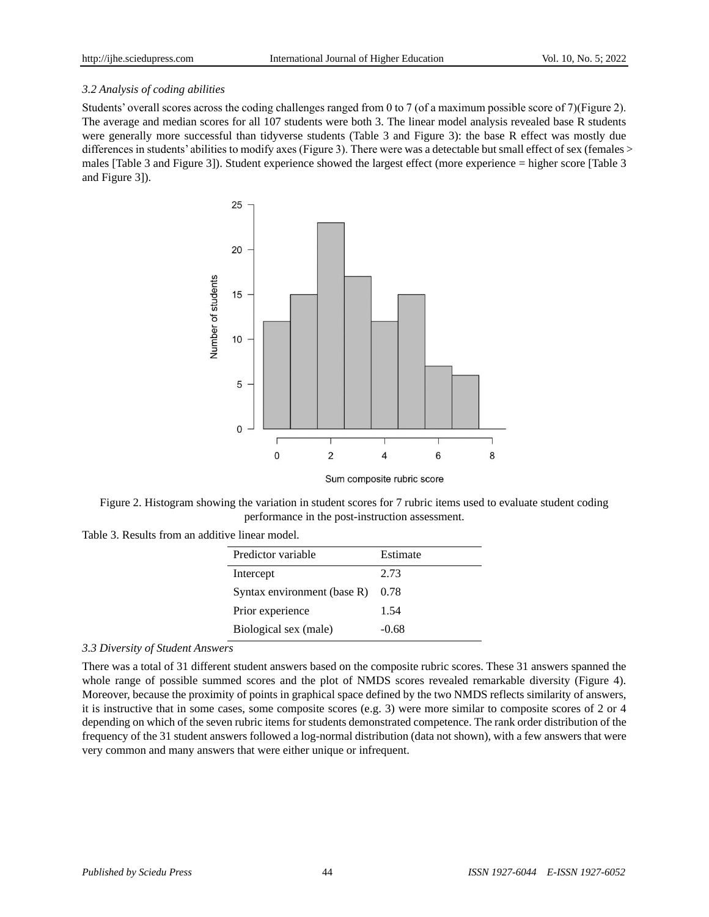# *3.2 Analysis of coding abilities*

Students' overall scores across the coding challenges ranged from 0 to 7 (of a maximum possible score of 7)(Figure 2). The average and median scores for all 107 students were both 3. The linear model analysis revealed base R students were generally more successful than tidyverse students (Table 3 and Figure 3): the base R effect was mostly due differences in students' abilities to modify axes (Figure 3). There were was a detectable but small effect of sex (females > males [Table 3 and Figure 3]). Student experience showed the largest effect (more experience = higher score [Table 3 and Figure 3]).



Figure 2. Histogram showing the variation in student scores for 7 rubric items used to evaluate student coding performance in the post-instruction assessment.

Table 3. Results from an additive linear model.

| Predictor variable          | Estimate |
|-----------------------------|----------|
| Intercept                   | 2.73     |
| Syntax environment (base R) | 0.78     |
| Prior experience            | 1.54     |
| Biological sex (male)       | $-0.68$  |

## *3.3 Diversity of Student Answers*

There was a total of 31 different student answers based on the composite rubric scores. These 31 answers spanned the whole range of possible summed scores and the plot of NMDS scores revealed remarkable diversity (Figure 4). Moreover, because the proximity of points in graphical space defined by the two NMDS reflects similarity of answers, it is instructive that in some cases, some composite scores (e.g. 3) were more similar to composite scores of 2 or 4 depending on which of the seven rubric items for students demonstrated competence. The rank order distribution of the frequency of the 31 student answers followed a log-normal distribution (data not shown), with a few answers that were very common and many answers that were either unique or infrequent.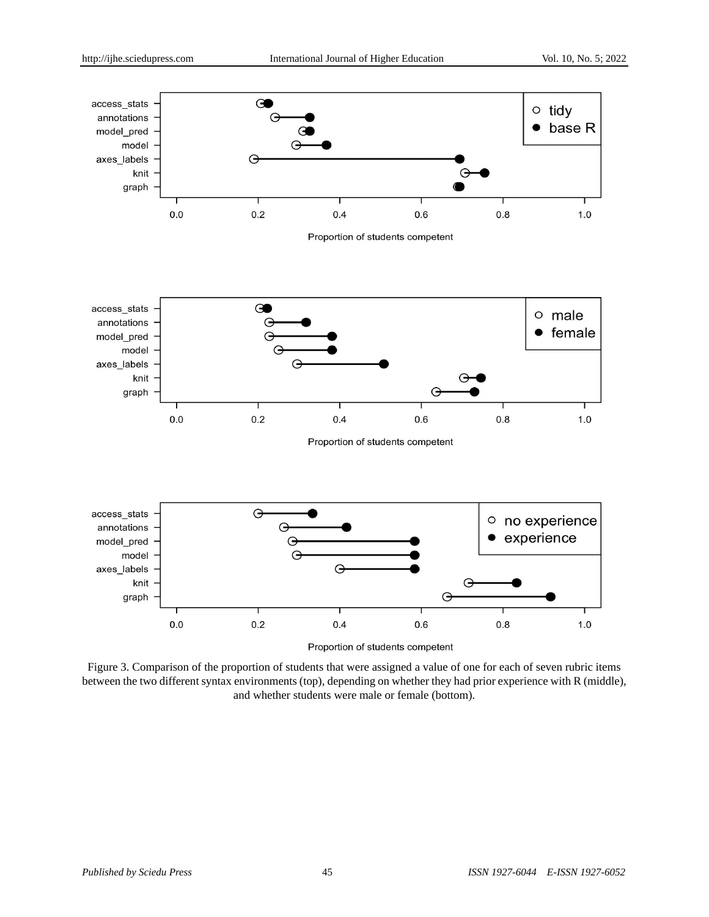

Figure 3. Comparison of the proportion of students that were assigned a value of one for each of seven rubric items between the two different syntax environments (top), depending on whether they had prior experience with R (middle), and whether students were male or female (bottom).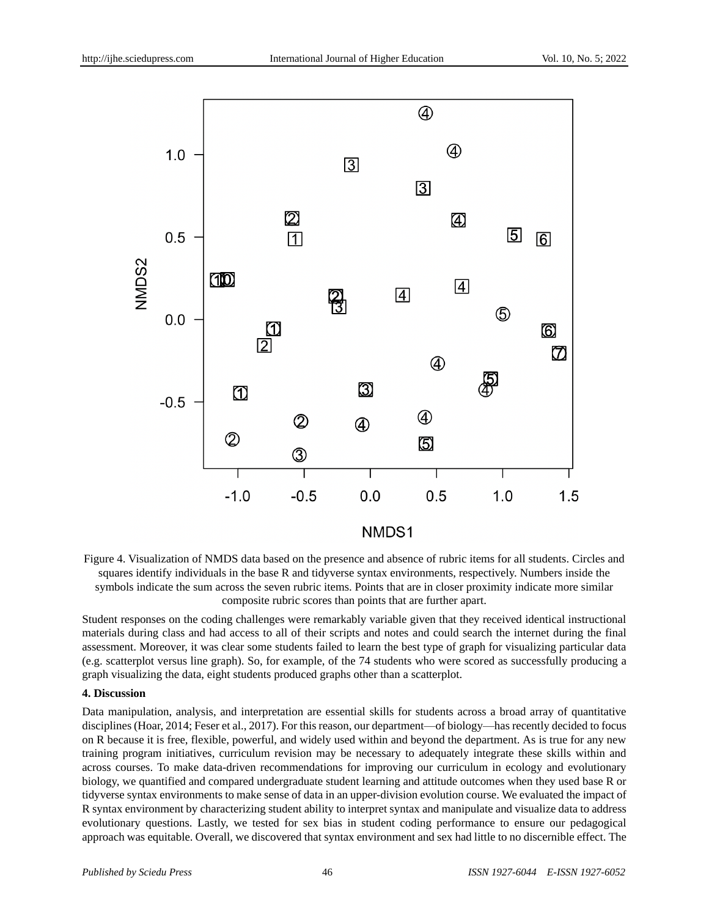

Figure 4. Visualization of NMDS data based on the presence and absence of rubric items for all students. Circles and squares identify individuals in the base R and tidyverse syntax environments, respectively. Numbers inside the symbols indicate the sum across the seven rubric items. Points that are in closer proximity indicate more similar composite rubric scores than points that are further apart.

Student responses on the coding challenges were remarkably variable given that they received identical instructional materials during class and had access to all of their scripts and notes and could search the internet during the final assessment. Moreover, it was clear some students failed to learn the best type of graph for visualizing particular data (e.g. scatterplot versus line graph). So, for example, of the 74 students who were scored as successfully producing a graph visualizing the data, eight students produced graphs other than a scatterplot.

#### **4. Discussion**

Data manipulation, analysis, and interpretation are essential skills for students across a broad array of quantitative disciplines (Hoar, 2014; Feser et al., 2017). For this reason, our department—of biology—has recently decided to focus on R because it is free, flexible, powerful, and widely used within and beyond the department. As is true for any new training program initiatives, curriculum revision may be necessary to adequately integrate these skills within and across courses. To make data-driven recommendations for improving our curriculum in ecology and evolutionary biology, we quantified and compared undergraduate student learning and attitude outcomes when they used base R or tidyverse syntax environments to make sense of data in an upper-division evolution course. We evaluated the impact of R syntax environment by characterizing student ability to interpret syntax and manipulate and visualize data to address evolutionary questions. Lastly, we tested for sex bias in student coding performance to ensure our pedagogical approach was equitable. Overall, we discovered that syntax environment and sex had little to no discernible effect. The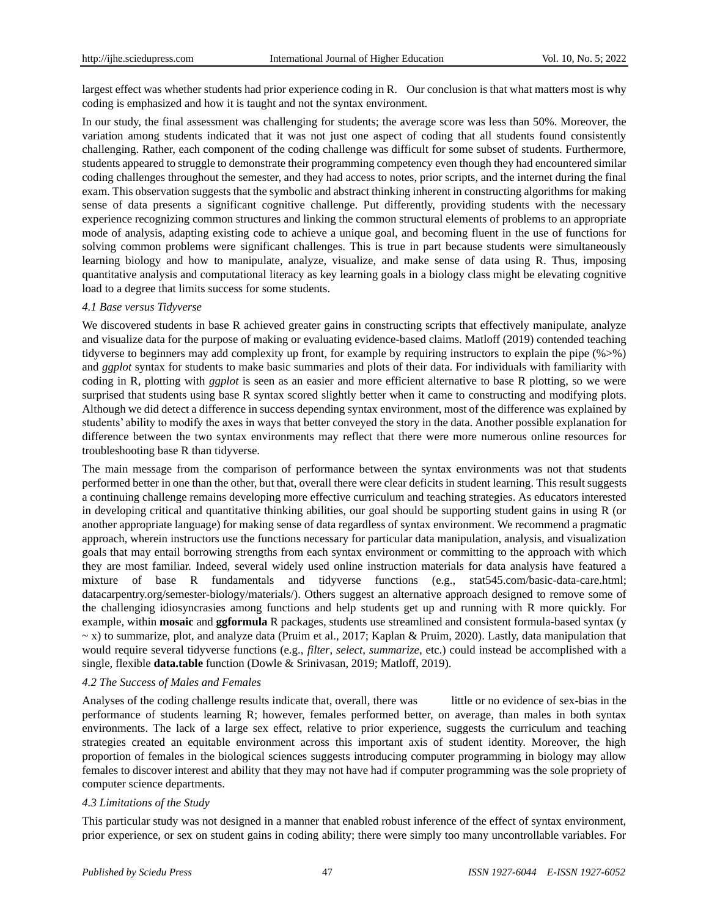largest effect was whether students had prior experience coding in R. Our conclusion is that what matters most is why coding is emphasized and how it is taught and not the syntax environment.

In our study, the final assessment was challenging for students; the average score was less than 50%. Moreover, the variation among students indicated that it was not just one aspect of coding that all students found consistently challenging. Rather, each component of the coding challenge was difficult for some subset of students. Furthermore, students appeared to struggle to demonstrate their programming competency even though they had encountered similar coding challenges throughout the semester, and they had access to notes, prior scripts, and the internet during the final exam. This observation suggests that the symbolic and abstract thinking inherent in constructing algorithms for making sense of data presents a significant cognitive challenge. Put differently, providing students with the necessary experience recognizing common structures and linking the common structural elements of problems to an appropriate mode of analysis, adapting existing code to achieve a unique goal, and becoming fluent in the use of functions for solving common problems were significant challenges. This is true in part because students were simultaneously learning biology and how to manipulate, analyze, visualize, and make sense of data using R. Thus, imposing quantitative analysis and computational literacy as key learning goals in a biology class might be elevating cognitive load to a degree that limits success for some students.

#### *4.1 Base versus Tidyverse*

We discovered students in base R achieved greater gains in constructing scripts that effectively manipulate, analyze and visualize data for the purpose of making or evaluating evidence-based claims. Matloff (2019) contended teaching tidyverse to beginners may add complexity up front, for example by requiring instructors to explain the pipe (%>%) and *ggplot* syntax for students to make basic summaries and plots of their data. For individuals with familiarity with coding in R, plotting with *ggplot* is seen as an easier and more efficient alternative to base R plotting, so we were surprised that students using base R syntax scored slightly better when it came to constructing and modifying plots. Although we did detect a difference in success depending syntax environment, most of the difference was explained by students' ability to modify the axes in ways that better conveyed the story in the data. Another possible explanation for difference between the two syntax environments may reflect that there were more numerous online resources for troubleshooting base R than tidyverse.

The main message from the comparison of performance between the syntax environments was not that students performed better in one than the other, but that, overall there were clear deficits in student learning. This result suggests a continuing challenge remains developing more effective curriculum and teaching strategies. As educators interested in developing critical and quantitative thinking abilities, our goal should be supporting student gains in using R (or another appropriate language) for making sense of data regardless of syntax environment. We recommend a pragmatic approach, wherein instructors use the functions necessary for particular data manipulation, analysis, and visualization goals that may entail borrowing strengths from each syntax environment or committing to the approach with which they are most familiar. Indeed, several widely used online instruction materials for data analysis have featured a mixture of base R fundamentals and tidyverse functions (e.g., stat545.com/basic-data-care.html; datacarpentry.org/semester-biology/materials/). Others suggest an alternative approach designed to remove some of the challenging idiosyncrasies among functions and help students get up and running with R more quickly. For example, within **mosaic** and **ggformula** R packages, students use streamlined and consistent formula-based syntax (y  $\sim$  x) to summarize, plot, and analyze data (Pruim et al., 2017; Kaplan & Pruim, 2020). Lastly, data manipulation that would require several tidyverse functions (e.g., *filter*, *select*, *summarize*, etc.) could instead be accomplished with a single, flexible **data.table** function (Dowle & Srinivasan, 2019; Matloff, 2019).

#### *4.2 The Success of Males and Females*

Analyses of the coding challenge results indicate that, overall, there was little or no evidence of sex-bias in the performance of students learning R; however, females performed better, on average, than males in both syntax environments. The lack of a large sex effect, relative to prior experience, suggests the curriculum and teaching strategies created an equitable environment across this important axis of student identity. Moreover, the high proportion of females in the biological sciences suggests introducing computer programming in biology may allow females to discover interest and ability that they may not have had if computer programming was the sole propriety of computer science departments.

#### *4.3 Limitations of the Study*

This particular study was not designed in a manner that enabled robust inference of the effect of syntax environment, prior experience, or sex on student gains in coding ability; there were simply too many uncontrollable variables. For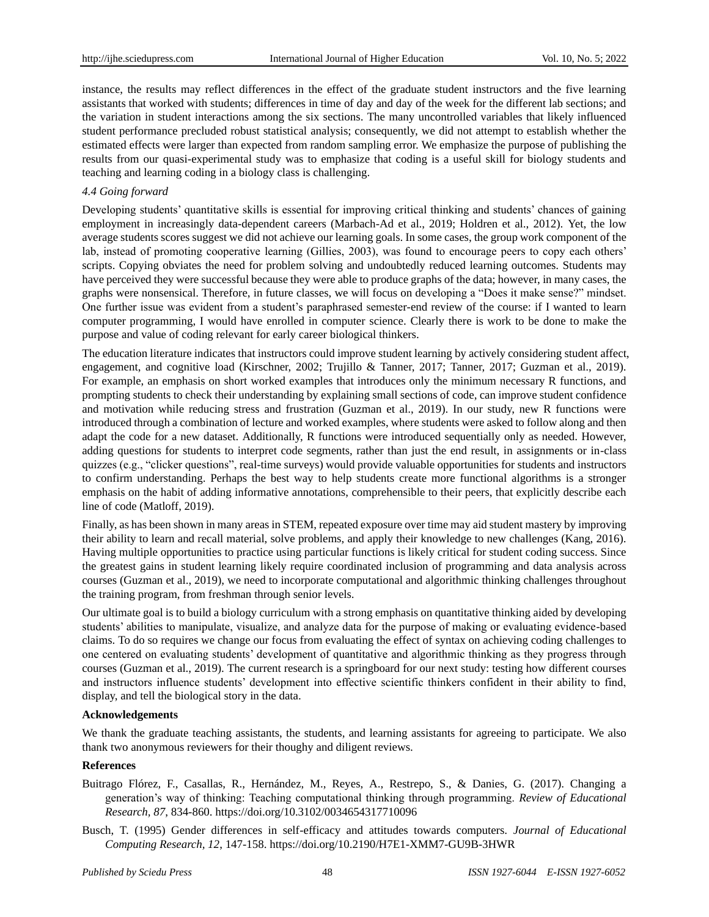instance, the results may reflect differences in the effect of the graduate student instructors and the five learning assistants that worked with students; differences in time of day and day of the week for the different lab sections; and the variation in student interactions among the six sections. The many uncontrolled variables that likely influenced student performance precluded robust statistical analysis; consequently, we did not attempt to establish whether the estimated effects were larger than expected from random sampling error. We emphasize the purpose of publishing the results from our quasi-experimental study was to emphasize that coding is a useful skill for biology students and teaching and learning coding in a biology class is challenging.

#### *4.4 Going forward*

Developing students' quantitative skills is essential for improving critical thinking and students' chances of gaining employment in increasingly data-dependent careers (Marbach-Ad et al., 2019; Holdren et al., 2012). Yet, the low average students scores suggest we did not achieve our learning goals. In some cases, the group work component of the lab, instead of promoting cooperative learning (Gillies, 2003), was found to encourage peers to copy each others' scripts. Copying obviates the need for problem solving and undoubtedly reduced learning outcomes. Students may have perceived they were successful because they were able to produce graphs of the data; however, in many cases, the graphs were nonsensical. Therefore, in future classes, we will focus on developing a "Does it make sense?" mindset. One further issue was evident from a student's paraphrased semester-end review of the course: if I wanted to learn computer programming, I would have enrolled in computer science. Clearly there is work to be done to make the purpose and value of coding relevant for early career biological thinkers.

The education literature indicates that instructors could improve student learning by actively considering student affect, engagement, and cognitive load (Kirschner, 2002; Trujillo & Tanner, 2017; Tanner, 2017; Guzman et al., 2019). For example, an emphasis on short worked examples that introduces only the minimum necessary R functions, and prompting students to check their understanding by explaining small sections of code, can improve student confidence and motivation while reducing stress and frustration (Guzman et al., 2019). In our study, new R functions were introduced through a combination of lecture and worked examples, where students were asked to follow along and then adapt the code for a new dataset. Additionally, R functions were introduced sequentially only as needed. However, adding questions for students to interpret code segments, rather than just the end result, in assignments or in-class quizzes (e.g., "clicker questions", real-time surveys) would provide valuable opportunities for students and instructors to confirm understanding. Perhaps the best way to help students create more functional algorithms is a stronger emphasis on the habit of adding informative annotations, comprehensible to their peers, that explicitly describe each line of code (Matloff, 2019).

Finally, as has been shown in many areas in STEM, repeated exposure over time may aid student mastery by improving their ability to learn and recall material, solve problems, and apply their knowledge to new challenges (Kang, 2016). Having multiple opportunities to practice using particular functions is likely critical for student coding success. Since the greatest gains in student learning likely require coordinated inclusion of programming and data analysis across courses (Guzman et al., 2019), we need to incorporate computational and algorithmic thinking challenges throughout the training program, from freshman through senior levels.

Our ultimate goal is to build a biology curriculum with a strong emphasis on quantitative thinking aided by developing students' abilities to manipulate, visualize, and analyze data for the purpose of making or evaluating evidence-based claims. To do so requires we change our focus from evaluating the effect of syntax on achieving coding challenges to one centered on evaluating students' development of quantitative and algorithmic thinking as they progress through courses (Guzman et al., 2019). The current research is a springboard for our next study: testing how different courses and instructors influence students' development into effective scientific thinkers confident in their ability to find, display, and tell the biological story in the data.

#### **Acknowledgements**

We thank the graduate teaching assistants, the students, and learning assistants for agreeing to participate. We also thank two anonymous reviewers for their thoughy and diligent reviews.

#### **References**

- Buitrago Flórez, F., Casallas, R., Hernández, M., Reyes, A., Restrepo, S., & Danies, G. (2017). Changing a generation's way of thinking: Teaching computational thinking through programming. *Review of Educational Research, 87*, 834-860. <https://doi.org/10.3102/0034654317710096>
- Busch, T. (1995) Gender differences in self-efficacy and attitudes towards computers. *Journal of Educational Computing Research, 12*, 147-158.<https://doi.org/10.2190/H7E1-XMM7-GU9B-3HWR>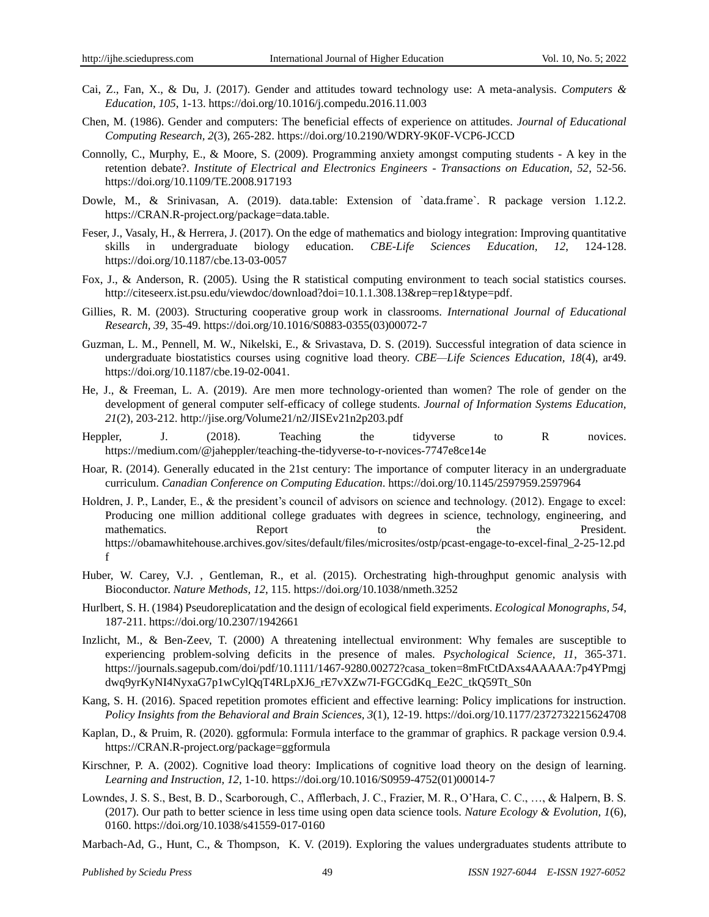- Cai, Z., Fan, X., & Du, J. (2017). Gender and attitudes toward technology use: A meta-analysis. *Computers & Education, 105*, 1-13.<https://doi.org/10.1016/j.compedu.2016.11.003>
- Chen, M. (1986). Gender and computers: The beneficial effects of experience on attitudes. *Journal of Educational Computing Research, 2*(3), 265-282[. https://doi.org/10.2190/WDRY-9K0F-VCP6-JCCD](https://doi.org/10.2190/WDRY-9K0F-VCP6-JCCD)
- Connolly, C., Murphy, E., & Moore, S. (2009). Programming anxiety amongst computing students A key in the retention debate?. *Institute of Electrical and Electronics Engineers - Transactions on Education, 52*, 52-56. <https://doi.org/10.1109/TE.2008.917193>
- Dowle, M., & Srinivasan, A. (2019). data.table: Extension of `data.frame`. R package version 1.12.2. [https://CRAN.R-project.org/package=data.table.](https://cran.r-project.org/package=data.table)
- Feser, J., Vasaly, H., & Herrera, J. (2017). On the edge of mathematics and biology integration: Improving quantitative skills in undergraduate biology education. *CBE-Life Sciences Education, 12*, 124-128. <https://doi.org/10.1187/cbe.13-03-0057>
- Fox, J., & Anderson, R. (2005). Using the R statistical computing environment to teach social statistics courses. [http://citeseerx.ist.psu.edu/viewdoc/download?doi=10.1.1.308.13&rep=rep1&type=pdf.](http://citeseerx.ist.psu.edu/viewdoc/download?doi=10.1.1.308.13&rep=rep1&type=pdf)
- Gillies, R. M. (2003). Structuring cooperative group work in classrooms. *International Journal of Educational Research, 39*, 35-49. [https://doi.org/10.1016/S0883-0355\(03\)00072-7](https://doi.org/10.1016/S0883-0355(03)00072-7)
- Guzman, L. M., Pennell, M. W., Nikelski, E., & Srivastava, D. S. (2019). Successful integration of data science in undergraduate biostatistics courses using cognitive load theory. *CBE—Life Sciences Education, 18*(4), ar49. [https://doi.org/10.1187/cbe.19-02-0041.](https://doi.org/10.1187/cbe.19-02-0041)
- He, J., & Freeman, L. A. (2019). Are men more technology-oriented than women? The role of gender on the development of general computer self-efficacy of college students. *Journal of Information Systems Education, 21*(2), 203-212.<http://jise.org/Volume21/n2/JISEv21n2p203.pdf>
- Heppler, J. (2018). Teaching the tidyverse to R novices. <https://medium.com/@jaheppler/teaching-the-tidyverse-to-r-novices-7747e8ce14e>
- Hoar, R. (2014). Generally educated in the 21st century: The importance of computer literacy in an undergraduate curriculum. *Canadian Conference on Computing Education*[. https://doi.org/10.1145/2597959.2597964](https://doi.org/10.1145/2597959.2597964)
- Holdren, J. P., Lander, E., & the president's council of advisors on science and technology. (2012). Engage to excel: Producing one million additional college graduates with degrees in science, technology, engineering, and mathematics. Report to the President. [https://obamawhitehouse.archives.gov/sites/default/files/microsites/ostp/pcast-engage-to-excel-final\\_2-25-12.pd](https://obamawhitehouse.archives.gov/sites/default/files/microsites/ostp/pcast-engage-to-excel-final_2-25-12.pdf) [f](https://obamawhitehouse.archives.gov/sites/default/files/microsites/ostp/pcast-engage-to-excel-final_2-25-12.pdf)
- Huber, W. Carey, V.J. , Gentleman, R., et al. (2015). Orchestrating high-throughput genomic analysis with Bioconductor. *Nature Methods, 12*, 115.<https://doi.org/10.1038/nmeth.3252>
- Hurlbert, S. H. (1984) Pseudoreplicatation and the design of ecological field experiments. *Ecological Monographs, 54*, 187-211.<https://doi.org/10.2307/1942661>
- Inzlicht, M., & Ben-Zeev, T. (2000) A threatening intellectual environment: Why females are susceptible to experiencing problem-solving deficits in the presence of males. *Psychological Science, 11*, 365-371. [https://journals.sagepub.com/doi/pdf/10.1111/1467-9280.00272?casa\\_token=8mFtCtDAxs4AAAAA:7p4YPmgj](https://journals.sagepub.com/doi/pdf/10.1111/1467-9280.00272?casa_token=8mFtCtDAxs4AAAAA:7p4YPmgjdwq9yrKyNI4NyxaG7p1wCylQqT4RLpXJ6_rE7vXZw7I-FGCGdKq_Ee2C_tkQ59Tt_S0n) [dwq9yrKyNI4NyxaG7p1wCylQqT4RLpXJ6\\_rE7vXZw7I-FGCGdKq\\_Ee2C\\_tkQ59Tt\\_S0n](https://journals.sagepub.com/doi/pdf/10.1111/1467-9280.00272?casa_token=8mFtCtDAxs4AAAAA:7p4YPmgjdwq9yrKyNI4NyxaG7p1wCylQqT4RLpXJ6_rE7vXZw7I-FGCGdKq_Ee2C_tkQ59Tt_S0n)
- Kang, S. H. (2016). Spaced repetition promotes efficient and effective learning: Policy implications for instruction. *Policy Insights from the Behavioral and Brain Sciences, 3*(1), 12-19. [https://doi.org/10.1177/2372732215624708](https://doi.org/10.1177%2F2372732215624708)
- Kaplan, D., & Pruim, R. (2020). ggformula: Formula interface to the grammar of graphics. R package version 0.9.4. https://CRAN.R-project.org/package=ggformula
- Kirschner, P. A. (2002). Cognitive load theory: Implications of cognitive load theory on the design of learning. *Learning and Instruction, 12*, 1-10. [https://doi.org/10.1016/S0959-4752\(01\)00014-7](https://doi.org/10.1016/S0959-4752(01)00014-7)
- Lowndes, J. S. S., Best, B. D., Scarborough, C., Afflerbach, J. C., Frazier, M. R., O'Hara, C. C., …, & Halpern, B. S. (2017). Our path to better science in less time using open data science tools. *Nature Ecology & Evolution, 1*(6), 0160.<https://doi.org/10.1038/s41559-017-0160>
- Marbach-Ad, G., Hunt, C., & Thompson, K. V. (2019). Exploring the values undergraduates students attribute to